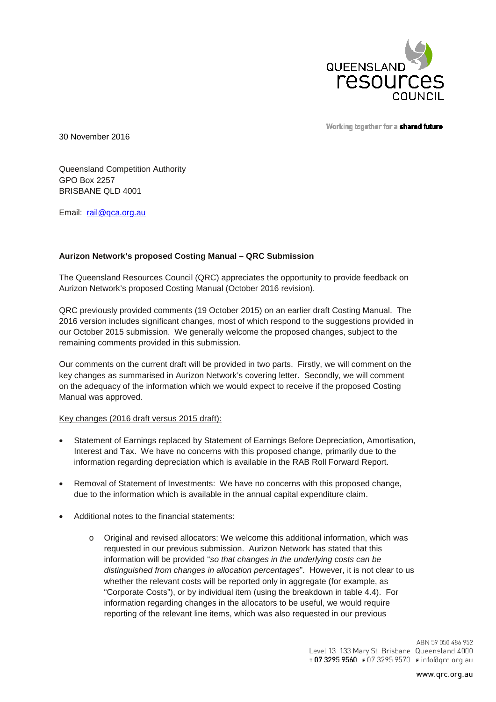

30 November 2016

Working together for a shared future

Queensland Competition Authority GPO Box 2257 BRISBANE QLD 4001

Email: [rail@qca.org.au](mailto:rail@qca.org.au)

# **Aurizon Network's proposed Costing Manual – QRC Submission**

The Queensland Resources Council (QRC) appreciates the opportunity to provide feedback on Aurizon Network's proposed Costing Manual (October 2016 revision).

QRC previously provided comments (19 October 2015) on an earlier draft Costing Manual. The 2016 version includes significant changes, most of which respond to the suggestions provided in our October 2015 submission. We generally welcome the proposed changes, subject to the remaining comments provided in this submission.

Our comments on the current draft will be provided in two parts. Firstly, we will comment on the key changes as summarised in Aurizon Network's covering letter. Secondly, we will comment on the adequacy of the information which we would expect to receive if the proposed Costing Manual was approved.

## Key changes (2016 draft versus 2015 draft):

- Statement of Earnings replaced by Statement of Earnings Before Depreciation, Amortisation, Interest and Tax. We have no concerns with this proposed change, primarily due to the information regarding depreciation which is available in the RAB Roll Forward Report.
- Removal of Statement of Investments: We have no concerns with this proposed change, due to the information which is available in the annual capital expenditure claim.
- Additional notes to the financial statements:
	- o Original and revised allocators: We welcome this additional information, which was requested in our previous submission. Aurizon Network has stated that this information will be provided "*so that changes in the underlying costs can be distinguished from changes in allocation percentages*". However, it is not clear to us whether the relevant costs will be reported only in aggregate (for example, as "Corporate Costs"), or by individual item (using the breakdown in table 4.4). For information regarding changes in the allocators to be useful, we would require reporting of the relevant line items, which was also requested in our previous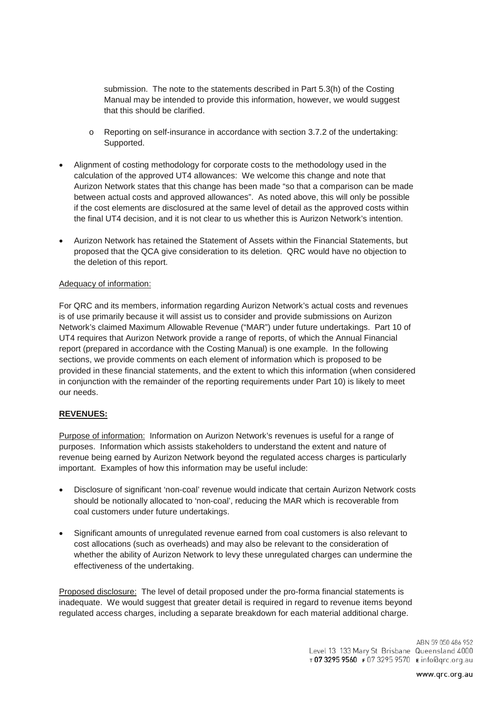submission. The note to the statements described in Part 5.3(h) of the Costing Manual may be intended to provide this information, however, we would suggest that this should be clarified.

- o Reporting on self-insurance in accordance with section 3.7.2 of the undertaking: Supported.
- Alignment of costing methodology for corporate costs to the methodology used in the calculation of the approved UT4 allowances: We welcome this change and note that Aurizon Network states that this change has been made "so that a comparison can be made between actual costs and approved allowances". As noted above, this will only be possible if the cost elements are disclosured at the same level of detail as the approved costs within the final UT4 decision, and it is not clear to us whether this is Aurizon Network's intention.
- Aurizon Network has retained the Statement of Assets within the Financial Statements, but proposed that the QCA give consideration to its deletion. QRC would have no objection to the deletion of this report.

## Adequacy of information:

For QRC and its members, information regarding Aurizon Network's actual costs and revenues is of use primarily because it will assist us to consider and provide submissions on Aurizon Network's claimed Maximum Allowable Revenue ("MAR") under future undertakings. Part 10 of UT4 requires that Aurizon Network provide a range of reports, of which the Annual Financial report (prepared in accordance with the Costing Manual) is one example. In the following sections, we provide comments on each element of information which is proposed to be provided in these financial statements, and the extent to which this information (when considered in conjunction with the remainder of the reporting requirements under Part 10) is likely to meet our needs.

### **REVENUES:**

Purpose of information: Information on Aurizon Network's revenues is useful for a range of purposes. Information which assists stakeholders to understand the extent and nature of revenue being earned by Aurizon Network beyond the regulated access charges is particularly important. Examples of how this information may be useful include:

- Disclosure of significant 'non-coal' revenue would indicate that certain Aurizon Network costs should be notionally allocated to 'non-coal', reducing the MAR which is recoverable from coal customers under future undertakings.
- Significant amounts of unregulated revenue earned from coal customers is also relevant to cost allocations (such as overheads) and may also be relevant to the consideration of whether the ability of Aurizon Network to levy these unregulated charges can undermine the effectiveness of the undertaking.

Proposed disclosure: The level of detail proposed under the pro-forma financial statements is inadequate. We would suggest that greater detail is required in regard to revenue items beyond regulated access charges, including a separate breakdown for each material additional charge.

> ABN 59 050 486 952 Level 13 133 Mary St Brisbane Queensland 4000 T0732959560 F0732959570 Einfo@grc.org.au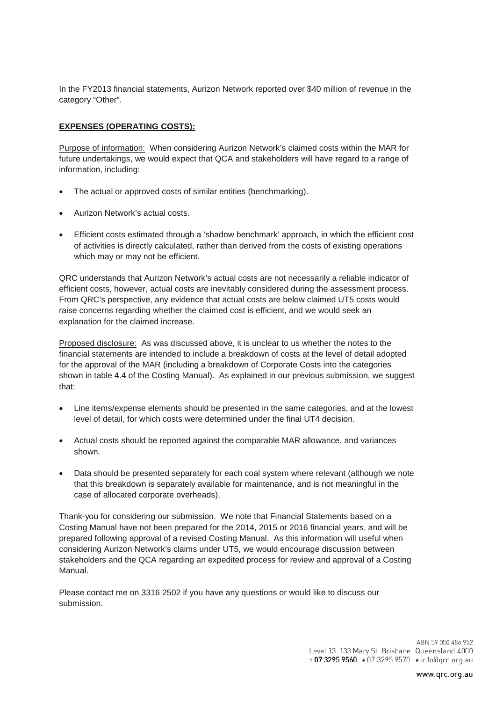In the FY2013 financial statements, Aurizon Network reported over \$40 million of revenue in the category "Other".

## **EXPENSES (OPERATING COSTS):**

Purpose of information: When considering Aurizon Network's claimed costs within the MAR for future undertakings, we would expect that QCA and stakeholders will have regard to a range of information, including:

- The actual or approved costs of similar entities (benchmarking).
- Aurizon Network's actual costs.
- Efficient costs estimated through a 'shadow benchmark' approach, in which the efficient cost of activities is directly calculated, rather than derived from the costs of existing operations which may or may not be efficient.

QRC understands that Aurizon Network's actual costs are not necessarily a reliable indicator of efficient costs, however, actual costs are inevitably considered during the assessment process. From QRC's perspective, any evidence that actual costs are below claimed UT5 costs would raise concerns regarding whether the claimed cost is efficient, and we would seek an explanation for the claimed increase.

Proposed disclosure: As was discussed above, it is unclear to us whether the notes to the financial statements are intended to include a breakdown of costs at the level of detail adopted for the approval of the MAR (including a breakdown of Corporate Costs into the categories shown in table 4.4 of the Costing Manual). As explained in our previous submission, we suggest that:

- Line items/expense elements should be presented in the same categories, and at the lowest level of detail, for which costs were determined under the final UT4 decision.
- Actual costs should be reported against the comparable MAR allowance, and variances shown.
- Data should be presented separately for each coal system where relevant (although we note that this breakdown is separately available for maintenance, and is not meaningful in the case of allocated corporate overheads).

Thank-you for considering our submission. We note that Financial Statements based on a Costing Manual have not been prepared for the 2014, 2015 or 2016 financial years, and will be prepared following approval of a revised Costing Manual. As this information will useful when considering Aurizon Network's claims under UT5, we would encourage discussion between stakeholders and the QCA regarding an expedited process for review and approval of a Costing Manual.

Please contact me on 3316 2502 if you have any questions or would like to discuss our submission.